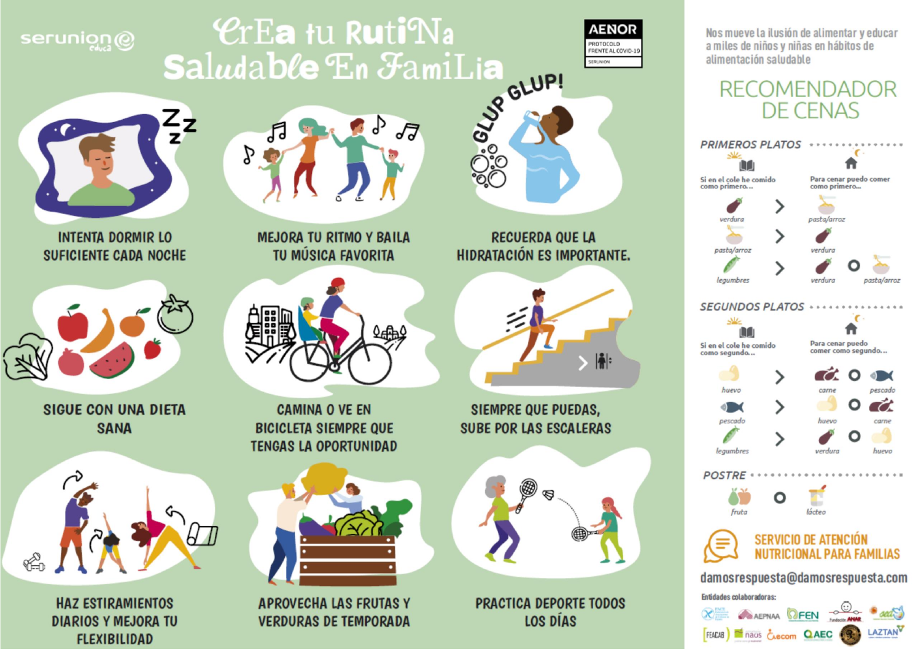## serunion@

# **CrEa tu RutiNa** OUNTED BY Saludable En FamiLia



Nos mueve la ilusión de alimentar y educar a miles de niños y niñas en hábitos de alimentación saludable

### **RECOMENDADOR** DE CENAS





**INTENTA DORMIR LO SUFICIENTE CADA NOCHE** 



**SIGUE CON UNA DIETA SANA** 



**HAZ ESTIRAMIENTOS DIARIOS Y MEJORA TU FLEXIBILIDAD** 

月 57 P

> **MEJORA TU RITMO Y BAILA TU MÚSICA FAVORITA**



**CAMINA O VE EN BICICLETA SIEMPRE QUE TENGAS LA OPORTUNIDAD** 



**APROVECHA LAS FRUTAS Y VERDURAS DE TEMPORADA** 

**RECUERDA QUE LA HIDRATACIÓN ES IMPORTANTE.** 

ెం



**SIEMPRE QUE PUEDAS. SUBE POR LAS ESCALERAS** 



**PRACTICA DEPORTE TODOS LOS DÍAS**